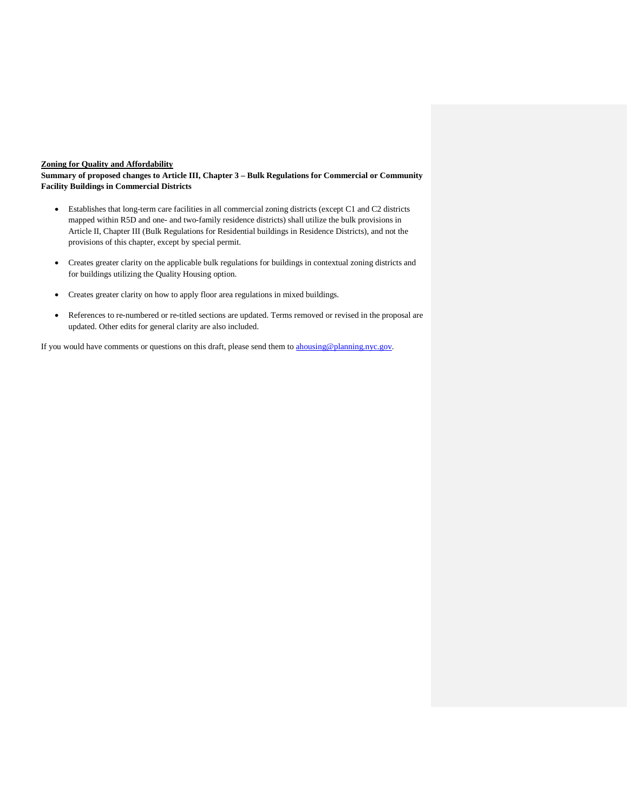## **Zoning for Quality and Affordability**

**Summary of proposed changes to Article III, Chapter 3 – Bulk Regulations for Commercial or Community Facility Buildings in Commercial Districts**

- Establishes that long-term care facilities in all commercial zoning districts (except C1 and C2 districts mapped within R5D and one- and two-family residence districts) shall utilize the bulk provisions in Article II, Chapter III (Bulk Regulations for Residential buildings in Residence Districts), and not the provisions of this chapter, except by special permit.
- Creates greater clarity on the applicable bulk regulations for buildings in contextual zoning districts and for buildings utilizing the Quality Housing option.
- Creates greater clarity on how to apply floor area regulations in mixed buildings.
- References to re-numbered or re-titled sections are updated. Terms removed or revised in the proposal are updated. Other edits for general clarity are also included.

If you would have comments or questions on this draft, please send them to **ahousing@planning.nyc.gov**.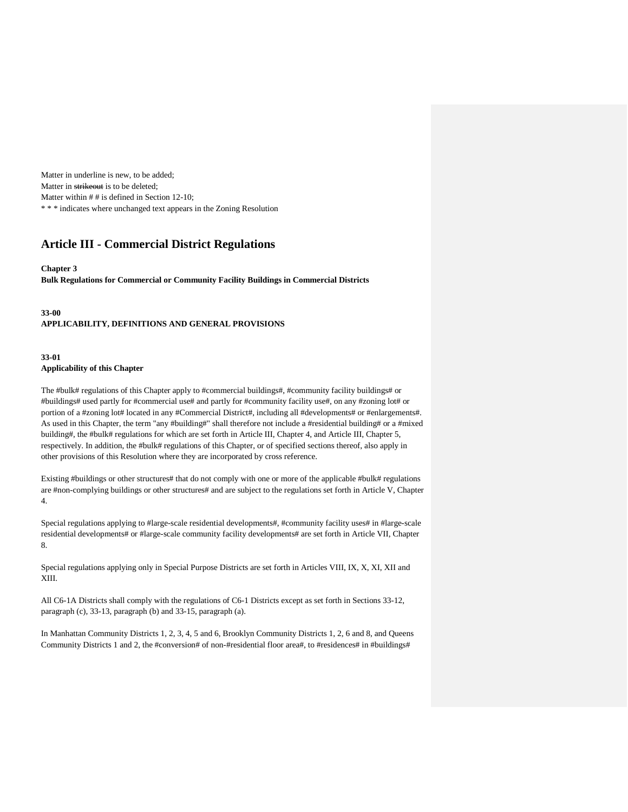Matter in underline is new, to be added; Matter in strikeout is to be deleted; Matter within  $# #$  is defined in Section 12-10; \* \* \* indicates where unchanged text appears in the Zoning Resolution

# **Article III - Commercial District Regulations**

#### **Chapter 3**

**Bulk Regulations for Commercial or Community Facility Buildings in Commercial Districts**

## **33-00 APPLICABILITY, DEFINITIONS AND GENERAL PROVISIONS**

## **33-01 Applicability of this Chapter**

The #bulk# regulations of this Chapter apply to #commercial buildings#, #community facility buildings# or #buildings# used partly for #commercial use# and partly for #community facility use#, on any #zoning lot# or portion of a #zoning lot# located in any #Commercial District#, including all #developments# or #enlargements#. As used in this Chapter, the term "any #building#" shall therefore not include a #residential building# or a #mixed building#, the #bulk# regulations for which are set forth in Article III, Chapter 4, and Article III, Chapter 5, respectively. In addition, the #bulk# regulations of this Chapter, or of specified sections thereof, also apply in other provisions of this Resolution where they are incorporated by cross reference.

Existing #buildings or other structures# that do not comply with one or more of the applicable #bulk# regulations are #non-complying buildings or other structures# and are subject to the regulations set forth in Article V, Chapter 4.

Special regulations applying to #large-scale residential developments#, #community facility uses# in #large-scale residential developments# or #large-scale community facility developments# are set forth in Article VII, Chapter 8.

Special regulations applying only in Special Purpose Districts are set forth in Articles VIII, IX, X, XI, XII and XIII.

All C6-1A Districts shall comply with the regulations of C6-1 Districts except as set forth in Sections 33-12, paragraph (c), 33-13, paragraph (b) and 33-15, paragraph (a).

In Manhattan Community Districts 1, 2, 3, 4, 5 and 6, Brooklyn Community Districts 1, 2, 6 and 8, and Queens Community Districts 1 and 2, the #conversion# of non-#residential floor area#, to #residences# in #buildings#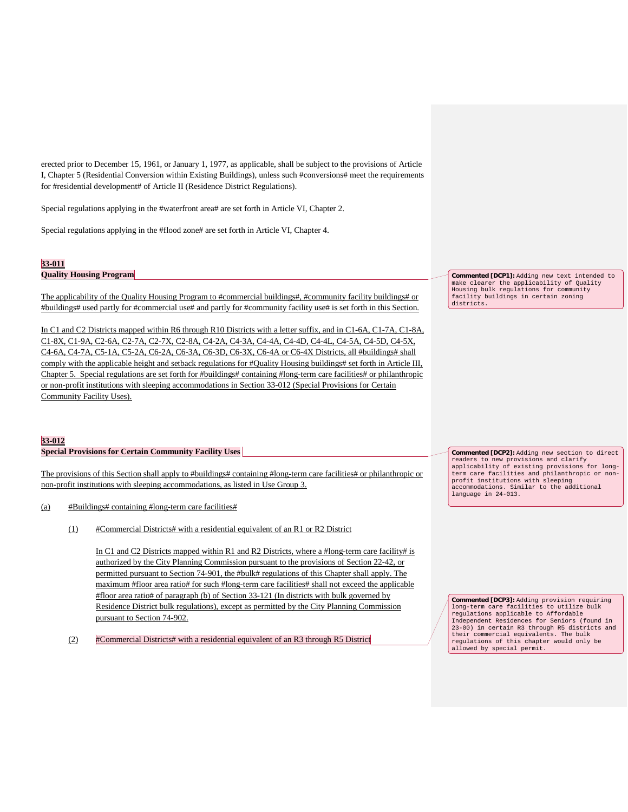erected prior to December 15, 1961, or January 1, 1977, as applicable, shall be subject to the provisions of Article I, Chapter 5 (Residential Conversion within Existing Buildings), unless such #conversions# meet the requirements for #residential development# of Article II (Residence District Regulations).

Special regulations applying in the #waterfront area# are set forth in Article VI, Chapter 2.

Special regulations applying in the #flood zone# are set forth in Article VI, Chapter 4.

## **33-011**

# **Quality Housing Program**

The applicability of the Quality Housing Program to #commercial buildings#, #community facility buildings# or #buildings# used partly for #commercial use# and partly for #community facility use# is set forth in this Section.

In C1 and C2 Districts mapped within R6 through R10 Districts with a letter suffix, and in C1-6A, C1-7A, C1-8A, C1-8X, C1-9A, C2-6A, C2-7A, C2-7X, C2-8A, C4-2A, C4-3A, C4-4A, C4-4D, C4-4L, C4-5A, C4-5D, C4-5X, C4-6A, C4-7A, C5-1A, C5-2A, C6-2A, C6-3A, C6-3D, C6-3X, C6-4A or C6-4X Districts, all #buildings# shall comply with the applicable height and setback regulations for #Quality Housing buildings# set forth in Article III, Chapter 5. Special regulations are set forth for #buildings# containing #long-term care facilities# or philanthropic or non-profit institutions with sleeping accommodations in Section 33-012 (Special Provisions for Certain Community Facility Uses).

## **33-012**

#### **Special Provisions for Certain Community Facility Uses**

The provisions of this Section shall apply to #buildings# containing #long-term care facilities# or philanthropic or non-profit institutions with sleeping accommodations, as listed in Use Group 3.

(a) #Buildings# containing #long-term care facilities#

(1) #Commercial Districts# with a residential equivalent of an R1 or R2 District

In C1 and C2 Districts mapped within R1 and R2 Districts, where a #long-term care facility# is authorized by the City Planning Commission pursuant to the provisions of Section 22-42, or permitted pursuant to Section 74-901, the #bulk# regulations of this Chapter shall apply. The maximum #floor area ratio# for such #long-term care facilities# shall not exceed the applicable #floor area ratio# of paragraph (b) of Section 33-121 (In districts with bulk governed by Residence District bulk regulations), except as permitted by the City Planning Commission pursuant to Section 74-902.

(2) #Commercial Districts# with a residential equivalent of an R3 through R5 District

**Commented [DCP1]:** Adding new text intended to make clearer the applicability of Quality Housing bulk regulations for community facility buildings in certain zoning districts.

**Commented [DCP2]:** Adding new section to direct readers to new provisions and clarify applicability of existing provisions for longterm care facilities and philanthropic or nonprofit institutions with sleeping accommodations. Similar to the additional language in 24-013.

**Commented [DCP3]:** Adding provision requiring long-term care facilities to utilize bulk regulations applicable to Affordable Independent Residences for Seniors (found in 23-00) in certain R3 through R5 districts and their commercial equivalents. The bulk regulations of this chapter would only be allowed by special permit.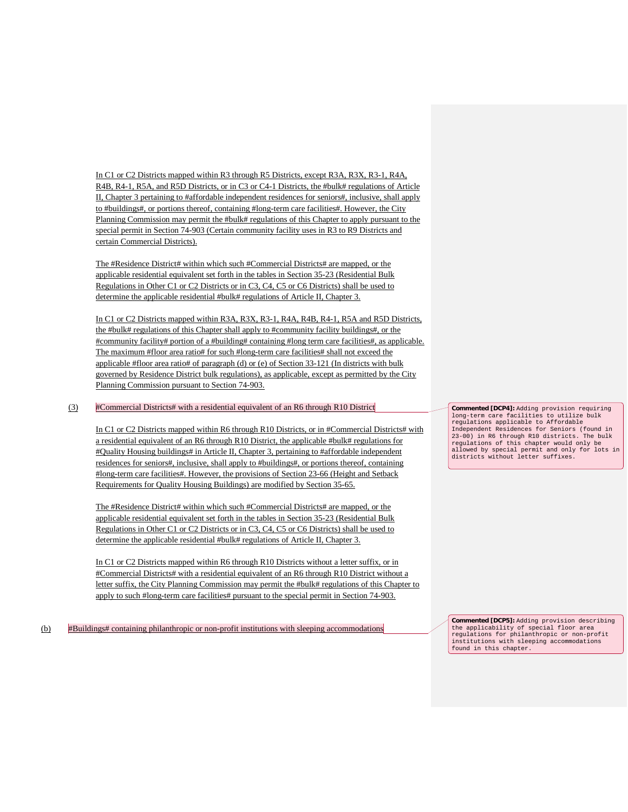In C1 or C2 Districts mapped within R3 through R5 Districts, except R3A, R3X, R3-1, R4A, R4B, R4-1, R5A, and R5D Districts, or in C3 or C4-1 Districts, the #bulk# regulations of Article II, Chapter 3 pertaining to #affordable independent residences for seniors#, inclusive, shall apply to #buildings#, or portions thereof, containing #long-term care facilities#. However, the City Planning Commission may permit the #bulk# regulations of this Chapter to apply pursuant to the special permit in Section 74-903 (Certain community facility uses in R3 to R9 Districts and certain Commercial Districts).

The #Residence District# within which such #Commercial Districts# are mapped, or the applicable residential equivalent set forth in the tables in Section 35-23 (Residential Bulk Regulations in Other C1 or C2 Districts or in C3, C4, C5 or C6 Districts) shall be used to determine the applicable residential #bulk# regulations of Article II, Chapter 3.

In C1 or C2 Districts mapped within R3A, R3X, R3-1, R4A, R4B, R4-1, R5A and R5D Districts, the #bulk# regulations of this Chapter shall apply to #community facility buildings#, or the #community facility# portion of a #building# containing #long term care facilities#, as applicable. The maximum #floor area ratio# for such #long-term care facilities# shall not exceed the applicable #floor area ratio# of paragraph (d) or (e) of Section 33-121 (In districts with bulk governed by Residence District bulk regulations), as applicable, except as permitted by the City Planning Commission pursuant to Section 74-903.

### (3) #Commercial Districts# with a residential equivalent of an R6 through R10 District

In C1 or C2 Districts mapped within R6 through R10 Districts, or in #Commercial Districts# with a residential equivalent of an R6 through R10 District, the applicable #bulk# regulations for #Quality Housing buildings# in Article II, Chapter 3, pertaining to #affordable independent residences for seniors#, inclusive, shall apply to #buildings#, or portions thereof, containing #long-term care facilities#. However, the provisions of Section 23-66 (Height and Setback Requirements for Quality Housing Buildings) are modified by Section 35-65.

The #Residence District# within which such #Commercial Districts# are mapped, or the applicable residential equivalent set forth in the tables in Section 35-23 (Residential Bulk Regulations in Other C1 or C2 Districts or in C3, C4, C5 or C6 Districts) shall be used to determine the applicable residential #bulk# regulations of Article II, Chapter 3.

In C1 or C2 Districts mapped within R6 through R10 Districts without a letter suffix, or in #Commercial Districts# with a residential equivalent of an R6 through R10 District without a letter suffix, the City Planning Commission may permit the #bulk# regulations of this Chapter to apply to such #long-term care facilities# pursuant to the special permit in Section 74-903.

(b) #Buildings# containing philanthropic or non-profit institutions with sleeping accommodations

**Commented [DCP4]:** Adding provision requiring long-term care facilities to utilize bulk regulations applicable to Affordable Independent Residences for Seniors (found in 23-00) in R6 through R10 districts. The bulk regulations of this chapter would only be allowed by special permit and only for lots in districts without letter suffixes.

**Commented [DCP5]:** Adding provision describing the applicability of special floor area regulations for philanthropic or non-profit institutions with sleeping accommodations found in this chapter.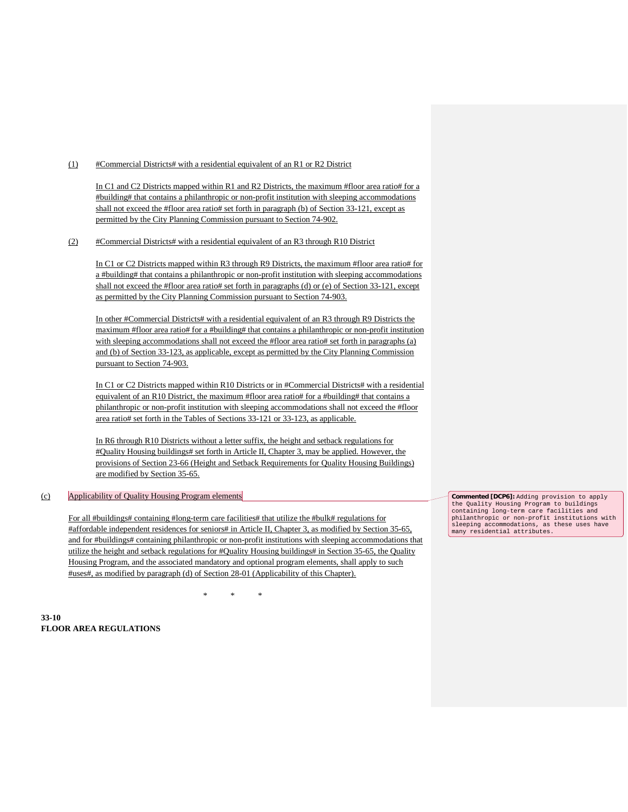(1) #Commercial Districts# with a residential equivalent of an R1 or R2 District

In C1 and C2 Districts mapped within R1 and R2 Districts, the maximum #floor area ratio# for a #building# that contains a philanthropic or non-profit institution with sleeping accommodations shall not exceed the #floor area ratio# set forth in paragraph (b) of Section 33-121, except as permitted by the City Planning Commission pursuant to Section 74-902.

(2) #Commercial Districts# with a residential equivalent of an R3 through R10 District

In C1 or C2 Districts mapped within R3 through R9 Districts, the maximum #floor area ratio# for a #building# that contains a philanthropic or non-profit institution with sleeping accommodations shall not exceed the #floor area ratio# set forth in paragraphs (d) or (e) of Section 33-121, except as permitted by the City Planning Commission pursuant to Section 74-903.

In other #Commercial Districts# with a residential equivalent of an R3 through R9 Districts the maximum #floor area ratio# for a #building# that contains a philanthropic or non-profit institution with sleeping accommodations shall not exceed the #floor area ratio# set forth in paragraphs (a) and (b) of Section 33-123, as applicable, except as permitted by the City Planning Commission pursuant to Section 74-903.

In C1 or C2 Districts mapped within R10 Districts or in #Commercial Districts# with a residential equivalent of an R10 District, the maximum #floor area ratio# for a #building# that contains a philanthropic or non-profit institution with sleeping accommodations shall not exceed the #floor area ratio# set forth in the Tables of Sections 33-121 or 33-123, as applicable.

In R6 through R10 Districts without a letter suffix, the height and setback regulations for #Quality Housing buildings# set forth in Article II, Chapter 3, may be applied. However, the provisions of Section 23-66 (Height and Setback Requirements for Quality Housing Buildings) are modified by Section 35-65.

## (c) Applicability of Quality Housing Program elements

For all #buildings# containing #long-term care facilities# that utilize the #bulk# regulations for #affordable independent residences for seniors# in Article II, Chapter 3, as modified by Section 35-65, and for #buildings# containing philanthropic or non-profit institutions with sleeping accommodations that utilize the height and setback regulations for #Quality Housing buildings# in Section 35-65, the Quality Housing Program, and the associated mandatory and optional program elements, shall apply to such #uses#, as modified by paragraph (d) of Section 28-01 (Applicability of this Chapter).

\* \* \*

**33-10 FLOOR AREA REGULATIONS** **Commented [DCP6]:** Adding provision to apply the Quality Housing Program to buildings containing long-term care facilities and philanthropic or non-profit institutions with sleeping accommodations, as these uses have many residential attributes.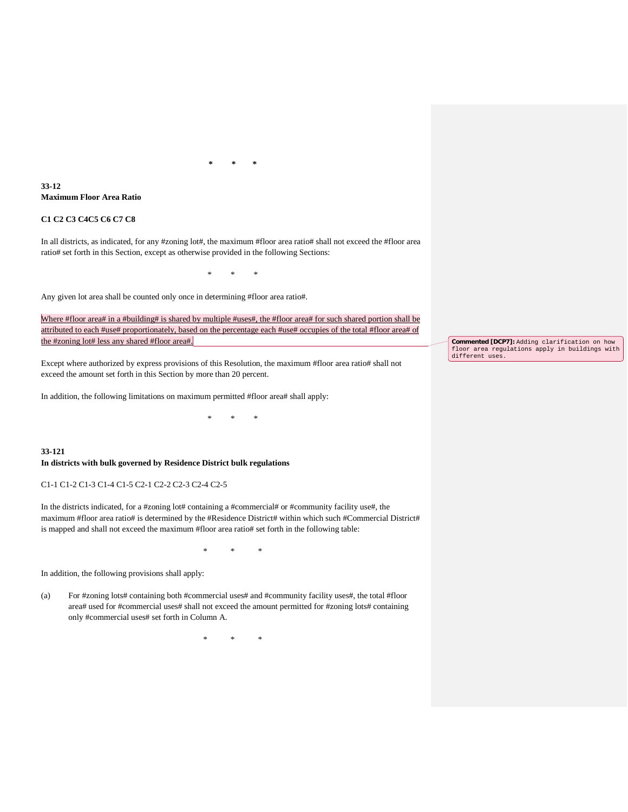**\* \* \***

## **33-12 Maximum Floor Area Ratio**

## **C1 C2 C3 C4C5 C6 C7 C8**

In all districts, as indicated, for any #zoning lot#, the maximum #floor area ratio# shall not exceed the #floor area ratio# set forth in this Section, except as otherwise provided in the following Sections:

\* \* \*

Any given lot area shall be counted only once in determining #floor area ratio#.

Where #floor area# in a #building# is shared by multiple #uses#, the #floor area# for such shared portion shall be attributed to each #use# proportionately, based on the percentage each #use# occupies of the total #floor area# of the #zoning lot# less any shared #floor area#.

\* \* \*

Except where authorized by express provisions of this Resolution, the maximum #floor area ratio# shall not exceed the amount set forth in this Section by more than 20 percent.

In addition, the following limitations on maximum permitted #floor area# shall apply:

**33-121 In districts with bulk governed by Residence District bulk regulations**

C1-1 C1-2 C1-3 C1-4 C1-5 C2-1 C2-2 C2-3 C2-4 C2-5

In the districts indicated, for a #zoning lot# containing a #commercial# or #community facility use#, the maximum #floor area ratio# is determined by the #Residence District# within which such #Commercial District# is mapped and shall not exceed the maximum #floor area ratio# set forth in the following table:

\* \* \*

In addition, the following provisions shall apply:

(a) For #zoning lots# containing both #commercial uses# and #community facility uses#, the total #floor area# used for #commercial uses# shall not exceed the amount permitted for #zoning lots# containing only #commercial uses# set forth in Column A.

\* \* \*

**Commented [DCP7]:** Adding clarification on how floor area regulations apply in buildings with different uses.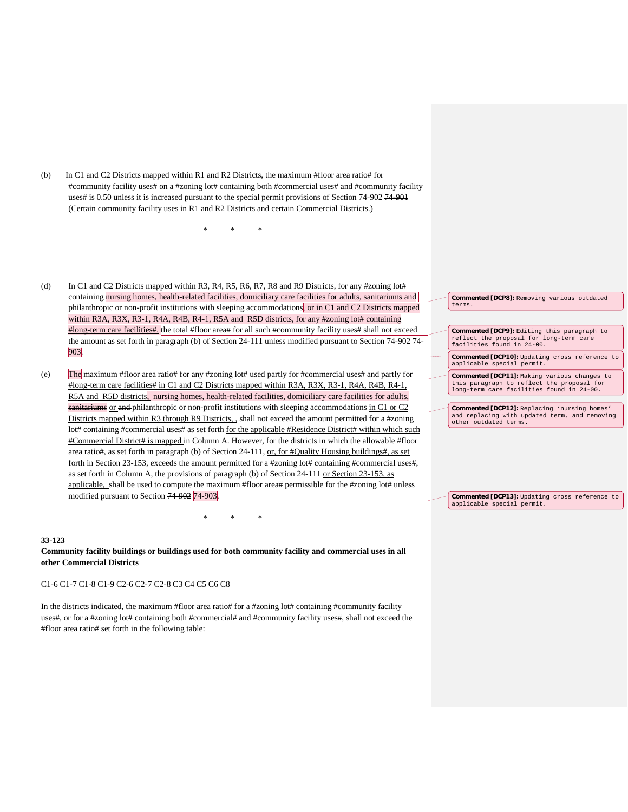(b) In C1 and C2 Districts mapped within R1 and R2 Districts, the maximum #floor area ratio# for #community facility uses# on a #zoning lot# containing both #commercial uses# and #community facility uses# is 0.50 unless it is increased pursuant to the special permit provisions of Section 74-902 74-901 (Certain community facility uses in R1 and R2 Districts and certain Commercial Districts.)

\* \* \*

- (d) In C1 and C2 Districts mapped within R3, R4, R5, R6, R7, R8 and R9 Districts, for any #zoning lot# containing nursing homes, health-related facilities, domiciliary care facilities for adults, sanitariums and philanthropic or non-profit institutions with sleeping accommodations, <u>or in C1 and C2 Districts mapped</u> within R3A, R3X, R3-1, R4A, R4B, R4-1, R5A and R5D districts, for any #zoning lot# containing #long-term care facilities#, the total #floor area# for all such #community facility uses# shall not exceed the amount as set forth in paragraph (b) of Section 24-111 unless modified pursuant to Section 74-902 74- 903.
- (e) The maximum #floor area ratio# for any #zoning lot# used partly for #commercial uses# and partly for #long-term care facilities# in C1 and C2 Districts mapped within R3A, R3X, R3-1, R4A, R4B, R4-1, R5A and R5D districts, nursing homes, health-related facilities, domiciliary care facilities for adults, sanitariums or and philanthropic or non-profit institutions with sleeping accommodations in C1 or C2 Districts mapped within R3 through R9 Districts, , shall not exceed the amount permitted for a #zoning lot# containing #commercial uses# as set forth for the applicable #Residence District# within which such #Commercial District# is mapped in Column A. However, for the districts in which the allowable #floor area ratio#, as set forth in paragraph (b) of Section 24-111, or, for #Quality Housing buildings#, as set forth in Section 23-153, exceeds the amount permitted for a #zoning lot# containing #commercial uses#, as set forth in Column A, the provisions of paragraph (b) of Section 24-111 or Section 23-153, as applicable, shall be used to compute the maximum #floor area# permissible for the #zoning lot# unless modified pursuant to Section 74-902 74-903.

#### **33-123**

**Community facility buildings or buildings used for both community facility and commercial uses in all other Commercial Districts**

\* \* \*

#### C1-6 C1-7 C1-8 C1-9 C2-6 C2-7 C2-8 C3 C4 C5 C6 C8

In the districts indicated, the maximum #floor area ratio# for a #zoning lot# containing #community facility uses#, or for a #zoning lot# containing both #commercial# and #community facility uses#, shall not exceed the #floor area ratio# set forth in the following table:

**Commented [DCP8]:** Removing various outdated terms.

**Commented [DCP9]:** Editing this paragraph to reflect the proposal for long-term care facilities found in 24-00.

**Commented [DCP10]:** Updating cross reference to applicable special permit.

**Commented [DCP11]:** Making various changes to this paragraph to reflect the proposal for long-term care facilities found in 24-00.

**Commented [DCP12]:** Replacing 'nursing homes' and replacing with updated term, and removing other outdated terms.

**Commented [DCP13]:** Updating cross reference to applicable special permit.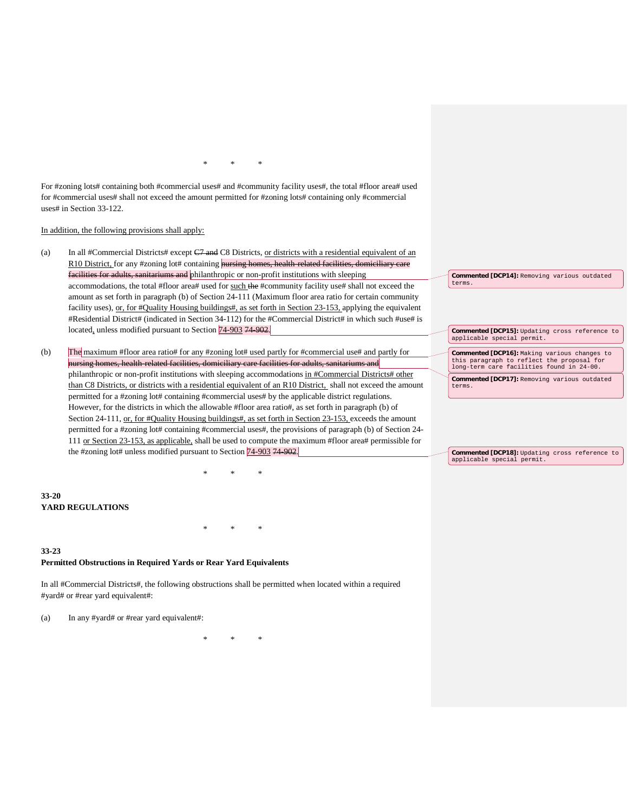\* \* \*

For #zoning lots# containing both #commercial uses# and #community facility uses#, the total #floor area# used for #commercial uses# shall not exceed the amount permitted for #zoning lots# containing only #commercial uses# in Section 33-122.

In addition, the following provisions shall apply:

- (a) In all #Commercial Districts# except  $C7$  and C8 Districts, or districts with a residential equivalent of an R10 District, for any #zoning lot# containing nursing homes, health-related facilities, domiciliary care facilities for adults, sanitariums and philanthropic or non-profit institutions with sleeping accommodations, the total #floor area# used for such the #community facility use# shall not exceed the amount as set forth in paragraph (b) of Section 24-111 (Maximum floor area ratio for certain community facility uses), or, for  $\#$ Quality Housing buildings $\#$ , as set forth in Section 23-153, applying the equivalent #Residential District# (indicated in Section 34-112) for the #Commercial District# in which such #use# is located, unless modified pursuant to Section 74-903 74-902.
- (b) The maximum #floor area ratio# for any #zoning lot# used partly for #commercial use# and partly for nursing homes, health-related facilities, domiciliary care facilities for adults, sanitariums and philanthropic or non-profit institutions with sleeping accommodations in #Commercial Districts# other than C8 Districts, or districts with a residential equivalent of an R10 District, shall not exceed the amount permitted for a #zoning lot# containing #commercial uses# by the applicable district regulations. However, for the districts in which the allowable #floor area ratio#, as set forth in paragraph (b) of Section 24-111, or, for #Quality Housing buildings#, as set forth in Section 23-153, exceeds the amount permitted for a #zoning lot# containing #commercial uses#, the provisions of paragraph (b) of Section 24- 111 or Section 23-153, as applicable, shall be used to compute the maximum #floor area# permissible for the #zoning lot# unless modified pursuant to Section  $\frac{74-903}{74.902}$ .

\* \* \*

\* \* \*

# **33-20 YARD REGULATIONS**

# **33-23 Permitted Obstructions in Required Yards or Rear Yard Equivalents**

In all #Commercial Districts#, the following obstructions shall be permitted when located within a required #yard# or #rear yard equivalent#:

(a) In any #yard# or #rear yard equivalent#:

\* \* \*

#### **Commented [DCP14]:** Removing various outdated terms.

**Commented [DCP15]:** Updating cross reference to applicable special permit.

**Commented [DCP16]:** Making various changes to this paragraph to reflect the proposal for long-term care facilities found in 24-00.

**Commented [DCP17]:** Removing various outdated terms.

**Commented [DCP18]:** Updating cross reference to applicable special permit.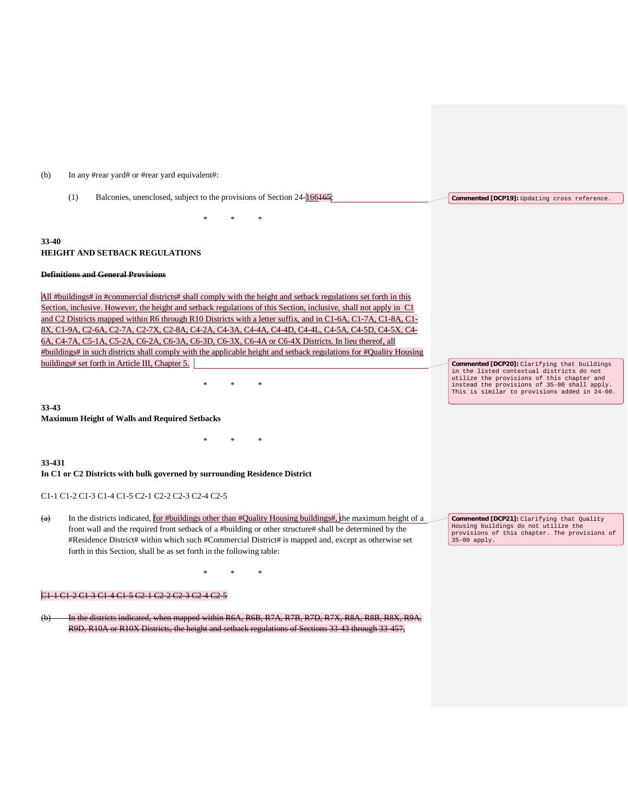#### (b) In any #rear yard# or #rear yard equivalent#:

| (1)   | Balconies, unenclosed, subject to the provisions of Section 24-166165;                                           | Commented [DCP19]: Updating cross reference. |
|-------|------------------------------------------------------------------------------------------------------------------|----------------------------------------------|
|       | $\ast$<br>*<br>∗                                                                                                 |                                              |
| 33-40 | <b>HEIGHT AND SETBACK REGULATIONS</b>                                                                            |                                              |
|       | Definitions and General Provisions                                                                               |                                              |
|       | All #buildings# in #commercial districts# shall comply with the height and setback regulations set forth in this |                                              |

Section, inclusive. However, the height and setback regulations of this Section, inclusive, shall not apply in C1 and C2 Districts mapped within R6 through R10 Districts with a letter suffix, and in C1-6A, C1-7A, C1-8A, C1- 8X, C1-9A, C2-6A, C2-7A, C2-7X, C2-8A, C4-2A, C4-3A, C4-4A, C4-4D, C4-4L, C4-5A, C4-5D, C4-5X, C4- 6A, C4-7A, C5-1A, C5-2A, C6-2A, C6-3A, C6-3D, C6-3X, C6-4A or C6-4X Districts. In lieu thereof, all #buildings# in such districts shall comply with the applicable height and setback regulations for #Quality Housing buildings# set forth in Article III, Chapter 5.

\* \* \*

\* \* \*

**33-43**

**Maximum Height of Walls and Required Setbacks**

#### **33-431**

#### **In C1 or C2 Districts with bulk governed by surrounding Residence District**

C1-1 C1-2 C1-3 C1-4 C1-5 C2-1 C2-2 C2-3 C2-4 C2-5

(a) In the districts indicated, for #buildings other than #Quality Housing buildings#, the maximum height of a front wall and the required front setback of a #building or other structure# shall be determined by the #Residence District# within which such #Commercial District# is mapped and, except as otherwise set forth in this Section, shall be as set forth in the following table:

\* \* \*

**Commented [DCP20]:** Clarifying that buildings in the listed contextual districts do not utilize the provisions of this chapter and instead the provisions of 35-00 shall apply. This is similar to provisions added in 24-00.

**Commented [DCP21]:** Clarifying that Quality Housing buildings do not utilize the provisions of this chapter. The provisions of 35-00 apply.

#### C1-1 C1-2 C1-3 C1-4 C1-5 C2-1 C2-2 C2-3 C2-4 C2-5

In the districts indicated, when mapped within R6A, R6B, R7A, R7B, R7D, R7X, R8A, R8B, R8X, R9A, R9D, R10A or R10X Districts, the height and setback regulations of Sections 33-43 through 33-457,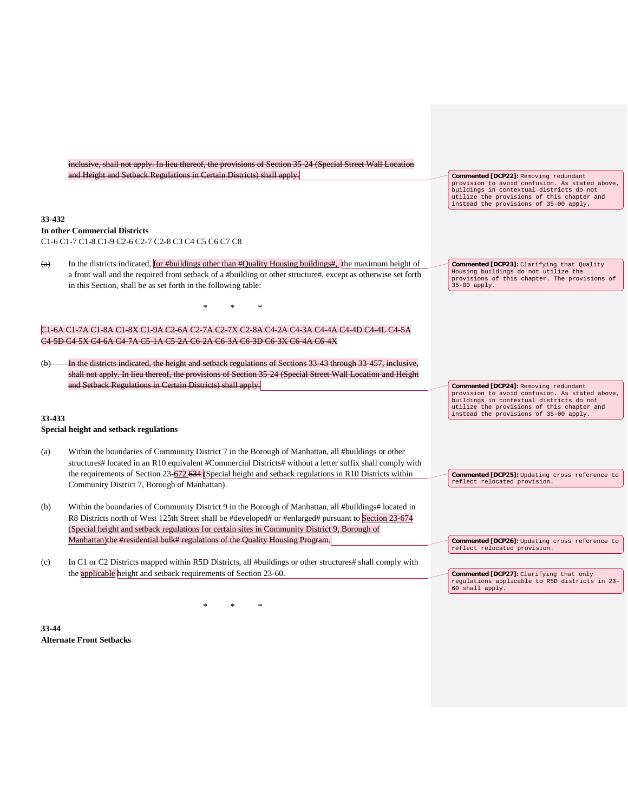| inclusive, shall not apply. In lieu thereof, the provisions of Section 35 24 (Special Street Wall Location<br>and Height and Setback Regulations in Certain Districts) shall apply.<br><b>Commented [DCP22]:</b> Removing redundant<br>provision to avoid confusion. As stated above,<br>buildings in contextual districts do not<br>utilize the provisions of this chapter and<br>instead the provisions of 35-00 apply.<br>33-432<br><b>In other Commercial Districts</b><br>C1-6 C1-7 C1-8 C1-9 C2-6 C2-7 C2-8 C3 C4 C5 C6 C7 C8<br>In the districts indicated, for #buildings other than #Quality Housing buildings#, the maximum height of<br>(a)<br>Commented [DCP23]: Clarifying that Quality<br>Housing buildings do not utilize the<br>a front wall and the required front setback of a #building or other structure#, except as otherwise set forth<br>provisions of this chapter. The provisions of<br>in this Section, shall be as set forth in the following table:<br>$35-00$ apply.<br><u>6A C1-7A C1-8A C1-8X C1-9A C2-6A C2-7A C2-7X C2-8A C4-2A C4-3A C4-4A C4-4D C4-4L C4-5A</u><br>5D C4-5X C4-6A C4-7A C5-1A C5-2A C6-2A C6-3A C6-3D C6-3X C6-4A C6-4X<br>In the districts indicated, the height and setback regulations of Sections 33 43 through 33 457, inclusive,<br>shall not apply. In lieu thereof, the provisions of Section 35-24 (Special Street Wall Location and Height<br>and Setback Regulations in Certain Districts) shall apply.<br>Commented [DCP24]: Removing redundant<br>provision to avoid confusion. As stated above,<br>buildings in contextual districts do not<br>utilize the provisions of this chapter and<br>instead the provisions of 35-00 apply.<br>33-433<br>Special height and setback regulations<br>Within the boundaries of Community District 7 in the Borough of Manhattan, all #buildings or other<br>(a)<br>structures# located in an R10 equivalent #Commercial Districts# without a letter suffix shall comply with<br>the requirements of Section $23-\frac{672.634}{2}$ (Special height and setback regulations in R10 Districts within<br>Commented [DCP25]: Updating cross reference to<br>reflect relocated provision.<br>Community District 7, Borough of Manhattan).<br>Within the boundaries of Community District 9 in the Borough of Manhattan, all #buildings# located in<br>(b)<br>R8 Districts north of West 125th Street shall be #developed# or #enlarged# pursuant to Section 23-674<br>(Special height and setback regulations for certain sites in Community District 9, Borough of<br>Manhattan) the #residential bulk# regulations of the Quality Housing Program.<br>Commented [DCP26]: Updating cross reference to<br>reflect relocated provision.<br>In C1 or C2 Districts mapped within R5D Districts, all #buildings or other structures# shall comply with<br>(c)<br>the <b>applicable</b> height and setback requirements of Section 23-60.<br>Commented [DCP27]: Clarifying that only<br>regulations applicable to R5D districts in 23-<br>60 shall apply. |  |  |  |  |  |
|--------------------------------------------------------------------------------------------------------------------------------------------------------------------------------------------------------------------------------------------------------------------------------------------------------------------------------------------------------------------------------------------------------------------------------------------------------------------------------------------------------------------------------------------------------------------------------------------------------------------------------------------------------------------------------------------------------------------------------------------------------------------------------------------------------------------------------------------------------------------------------------------------------------------------------------------------------------------------------------------------------------------------------------------------------------------------------------------------------------------------------------------------------------------------------------------------------------------------------------------------------------------------------------------------------------------------------------------------------------------------------------------------------------------------------------------------------------------------------------------------------------------------------------------------------------------------------------------------------------------------------------------------------------------------------------------------------------------------------------------------------------------------------------------------------------------------------------------------------------------------------------------------------------------------------------------------------------------------------------------------------------------------------------------------------------------------------------------------------------------------------------------------------------------------------------------------------------------------------------------------------------------------------------------------------------------------------------------------------------------------------------------------------------------------------------------------------------------------------------------------------------------------------------------------------------------------------------------------------------------------------------------------------------------------------------------------------------------------------------------------------------------------------------------------------------------------------------------------------------------------------------------------------------------------------------------------------------------------------------------------------------------------------------------------------|--|--|--|--|--|
|                                                                                                                                                                                                                                                                                                                                                                                                                                                                                                                                                                                                                                                                                                                                                                                                                                                                                                                                                                                                                                                                                                                                                                                                                                                                                                                                                                                                                                                                                                                                                                                                                                                                                                                                                                                                                                                                                                                                                                                                                                                                                                                                                                                                                                                                                                                                                                                                                                                                                                                                                                                                                                                                                                                                                                                                                                                                                                                                                                                                                                                        |  |  |  |  |  |
|                                                                                                                                                                                                                                                                                                                                                                                                                                                                                                                                                                                                                                                                                                                                                                                                                                                                                                                                                                                                                                                                                                                                                                                                                                                                                                                                                                                                                                                                                                                                                                                                                                                                                                                                                                                                                                                                                                                                                                                                                                                                                                                                                                                                                                                                                                                                                                                                                                                                                                                                                                                                                                                                                                                                                                                                                                                                                                                                                                                                                                                        |  |  |  |  |  |
|                                                                                                                                                                                                                                                                                                                                                                                                                                                                                                                                                                                                                                                                                                                                                                                                                                                                                                                                                                                                                                                                                                                                                                                                                                                                                                                                                                                                                                                                                                                                                                                                                                                                                                                                                                                                                                                                                                                                                                                                                                                                                                                                                                                                                                                                                                                                                                                                                                                                                                                                                                                                                                                                                                                                                                                                                                                                                                                                                                                                                                                        |  |  |  |  |  |
|                                                                                                                                                                                                                                                                                                                                                                                                                                                                                                                                                                                                                                                                                                                                                                                                                                                                                                                                                                                                                                                                                                                                                                                                                                                                                                                                                                                                                                                                                                                                                                                                                                                                                                                                                                                                                                                                                                                                                                                                                                                                                                                                                                                                                                                                                                                                                                                                                                                                                                                                                                                                                                                                                                                                                                                                                                                                                                                                                                                                                                                        |  |  |  |  |  |
|                                                                                                                                                                                                                                                                                                                                                                                                                                                                                                                                                                                                                                                                                                                                                                                                                                                                                                                                                                                                                                                                                                                                                                                                                                                                                                                                                                                                                                                                                                                                                                                                                                                                                                                                                                                                                                                                                                                                                                                                                                                                                                                                                                                                                                                                                                                                                                                                                                                                                                                                                                                                                                                                                                                                                                                                                                                                                                                                                                                                                                                        |  |  |  |  |  |
|                                                                                                                                                                                                                                                                                                                                                                                                                                                                                                                                                                                                                                                                                                                                                                                                                                                                                                                                                                                                                                                                                                                                                                                                                                                                                                                                                                                                                                                                                                                                                                                                                                                                                                                                                                                                                                                                                                                                                                                                                                                                                                                                                                                                                                                                                                                                                                                                                                                                                                                                                                                                                                                                                                                                                                                                                                                                                                                                                                                                                                                        |  |  |  |  |  |
|                                                                                                                                                                                                                                                                                                                                                                                                                                                                                                                                                                                                                                                                                                                                                                                                                                                                                                                                                                                                                                                                                                                                                                                                                                                                                                                                                                                                                                                                                                                                                                                                                                                                                                                                                                                                                                                                                                                                                                                                                                                                                                                                                                                                                                                                                                                                                                                                                                                                                                                                                                                                                                                                                                                                                                                                                                                                                                                                                                                                                                                        |  |  |  |  |  |
|                                                                                                                                                                                                                                                                                                                                                                                                                                                                                                                                                                                                                                                                                                                                                                                                                                                                                                                                                                                                                                                                                                                                                                                                                                                                                                                                                                                                                                                                                                                                                                                                                                                                                                                                                                                                                                                                                                                                                                                                                                                                                                                                                                                                                                                                                                                                                                                                                                                                                                                                                                                                                                                                                                                                                                                                                                                                                                                                                                                                                                                        |  |  |  |  |  |
|                                                                                                                                                                                                                                                                                                                                                                                                                                                                                                                                                                                                                                                                                                                                                                                                                                                                                                                                                                                                                                                                                                                                                                                                                                                                                                                                                                                                                                                                                                                                                                                                                                                                                                                                                                                                                                                                                                                                                                                                                                                                                                                                                                                                                                                                                                                                                                                                                                                                                                                                                                                                                                                                                                                                                                                                                                                                                                                                                                                                                                                        |  |  |  |  |  |
|                                                                                                                                                                                                                                                                                                                                                                                                                                                                                                                                                                                                                                                                                                                                                                                                                                                                                                                                                                                                                                                                                                                                                                                                                                                                                                                                                                                                                                                                                                                                                                                                                                                                                                                                                                                                                                                                                                                                                                                                                                                                                                                                                                                                                                                                                                                                                                                                                                                                                                                                                                                                                                                                                                                                                                                                                                                                                                                                                                                                                                                        |  |  |  |  |  |
|                                                                                                                                                                                                                                                                                                                                                                                                                                                                                                                                                                                                                                                                                                                                                                                                                                                                                                                                                                                                                                                                                                                                                                                                                                                                                                                                                                                                                                                                                                                                                                                                                                                                                                                                                                                                                                                                                                                                                                                                                                                                                                                                                                                                                                                                                                                                                                                                                                                                                                                                                                                                                                                                                                                                                                                                                                                                                                                                                                                                                                                        |  |  |  |  |  |
|                                                                                                                                                                                                                                                                                                                                                                                                                                                                                                                                                                                                                                                                                                                                                                                                                                                                                                                                                                                                                                                                                                                                                                                                                                                                                                                                                                                                                                                                                                                                                                                                                                                                                                                                                                                                                                                                                                                                                                                                                                                                                                                                                                                                                                                                                                                                                                                                                                                                                                                                                                                                                                                                                                                                                                                                                                                                                                                                                                                                                                                        |  |  |  |  |  |
|                                                                                                                                                                                                                                                                                                                                                                                                                                                                                                                                                                                                                                                                                                                                                                                                                                                                                                                                                                                                                                                                                                                                                                                                                                                                                                                                                                                                                                                                                                                                                                                                                                                                                                                                                                                                                                                                                                                                                                                                                                                                                                                                                                                                                                                                                                                                                                                                                                                                                                                                                                                                                                                                                                                                                                                                                                                                                                                                                                                                                                                        |  |  |  |  |  |
|                                                                                                                                                                                                                                                                                                                                                                                                                                                                                                                                                                                                                                                                                                                                                                                                                                                                                                                                                                                                                                                                                                                                                                                                                                                                                                                                                                                                                                                                                                                                                                                                                                                                                                                                                                                                                                                                                                                                                                                                                                                                                                                                                                                                                                                                                                                                                                                                                                                                                                                                                                                                                                                                                                                                                                                                                                                                                                                                                                                                                                                        |  |  |  |  |  |
|                                                                                                                                                                                                                                                                                                                                                                                                                                                                                                                                                                                                                                                                                                                                                                                                                                                                                                                                                                                                                                                                                                                                                                                                                                                                                                                                                                                                                                                                                                                                                                                                                                                                                                                                                                                                                                                                                                                                                                                                                                                                                                                                                                                                                                                                                                                                                                                                                                                                                                                                                                                                                                                                                                                                                                                                                                                                                                                                                                                                                                                        |  |  |  |  |  |
|                                                                                                                                                                                                                                                                                                                                                                                                                                                                                                                                                                                                                                                                                                                                                                                                                                                                                                                                                                                                                                                                                                                                                                                                                                                                                                                                                                                                                                                                                                                                                                                                                                                                                                                                                                                                                                                                                                                                                                                                                                                                                                                                                                                                                                                                                                                                                                                                                                                                                                                                                                                                                                                                                                                                                                                                                                                                                                                                                                                                                                                        |  |  |  |  |  |
|                                                                                                                                                                                                                                                                                                                                                                                                                                                                                                                                                                                                                                                                                                                                                                                                                                                                                                                                                                                                                                                                                                                                                                                                                                                                                                                                                                                                                                                                                                                                                                                                                                                                                                                                                                                                                                                                                                                                                                                                                                                                                                                                                                                                                                                                                                                                                                                                                                                                                                                                                                                                                                                                                                                                                                                                                                                                                                                                                                                                                                                        |  |  |  |  |  |
|                                                                                                                                                                                                                                                                                                                                                                                                                                                                                                                                                                                                                                                                                                                                                                                                                                                                                                                                                                                                                                                                                                                                                                                                                                                                                                                                                                                                                                                                                                                                                                                                                                                                                                                                                                                                                                                                                                                                                                                                                                                                                                                                                                                                                                                                                                                                                                                                                                                                                                                                                                                                                                                                                                                                                                                                                                                                                                                                                                                                                                                        |  |  |  |  |  |
|                                                                                                                                                                                                                                                                                                                                                                                                                                                                                                                                                                                                                                                                                                                                                                                                                                                                                                                                                                                                                                                                                                                                                                                                                                                                                                                                                                                                                                                                                                                                                                                                                                                                                                                                                                                                                                                                                                                                                                                                                                                                                                                                                                                                                                                                                                                                                                                                                                                                                                                                                                                                                                                                                                                                                                                                                                                                                                                                                                                                                                                        |  |  |  |  |  |
|                                                                                                                                                                                                                                                                                                                                                                                                                                                                                                                                                                                                                                                                                                                                                                                                                                                                                                                                                                                                                                                                                                                                                                                                                                                                                                                                                                                                                                                                                                                                                                                                                                                                                                                                                                                                                                                                                                                                                                                                                                                                                                                                                                                                                                                                                                                                                                                                                                                                                                                                                                                                                                                                                                                                                                                                                                                                                                                                                                                                                                                        |  |  |  |  |  |
|                                                                                                                                                                                                                                                                                                                                                                                                                                                                                                                                                                                                                                                                                                                                                                                                                                                                                                                                                                                                                                                                                                                                                                                                                                                                                                                                                                                                                                                                                                                                                                                                                                                                                                                                                                                                                                                                                                                                                                                                                                                                                                                                                                                                                                                                                                                                                                                                                                                                                                                                                                                                                                                                                                                                                                                                                                                                                                                                                                                                                                                        |  |  |  |  |  |
|                                                                                                                                                                                                                                                                                                                                                                                                                                                                                                                                                                                                                                                                                                                                                                                                                                                                                                                                                                                                                                                                                                                                                                                                                                                                                                                                                                                                                                                                                                                                                                                                                                                                                                                                                                                                                                                                                                                                                                                                                                                                                                                                                                                                                                                                                                                                                                                                                                                                                                                                                                                                                                                                                                                                                                                                                                                                                                                                                                                                                                                        |  |  |  |  |  |
|                                                                                                                                                                                                                                                                                                                                                                                                                                                                                                                                                                                                                                                                                                                                                                                                                                                                                                                                                                                                                                                                                                                                                                                                                                                                                                                                                                                                                                                                                                                                                                                                                                                                                                                                                                                                                                                                                                                                                                                                                                                                                                                                                                                                                                                                                                                                                                                                                                                                                                                                                                                                                                                                                                                                                                                                                                                                                                                                                                                                                                                        |  |  |  |  |  |
|                                                                                                                                                                                                                                                                                                                                                                                                                                                                                                                                                                                                                                                                                                                                                                                                                                                                                                                                                                                                                                                                                                                                                                                                                                                                                                                                                                                                                                                                                                                                                                                                                                                                                                                                                                                                                                                                                                                                                                                                                                                                                                                                                                                                                                                                                                                                                                                                                                                                                                                                                                                                                                                                                                                                                                                                                                                                                                                                                                                                                                                        |  |  |  |  |  |
|                                                                                                                                                                                                                                                                                                                                                                                                                                                                                                                                                                                                                                                                                                                                                                                                                                                                                                                                                                                                                                                                                                                                                                                                                                                                                                                                                                                                                                                                                                                                                                                                                                                                                                                                                                                                                                                                                                                                                                                                                                                                                                                                                                                                                                                                                                                                                                                                                                                                                                                                                                                                                                                                                                                                                                                                                                                                                                                                                                                                                                                        |  |  |  |  |  |
|                                                                                                                                                                                                                                                                                                                                                                                                                                                                                                                                                                                                                                                                                                                                                                                                                                                                                                                                                                                                                                                                                                                                                                                                                                                                                                                                                                                                                                                                                                                                                                                                                                                                                                                                                                                                                                                                                                                                                                                                                                                                                                                                                                                                                                                                                                                                                                                                                                                                                                                                                                                                                                                                                                                                                                                                                                                                                                                                                                                                                                                        |  |  |  |  |  |
|                                                                                                                                                                                                                                                                                                                                                                                                                                                                                                                                                                                                                                                                                                                                                                                                                                                                                                                                                                                                                                                                                                                                                                                                                                                                                                                                                                                                                                                                                                                                                                                                                                                                                                                                                                                                                                                                                                                                                                                                                                                                                                                                                                                                                                                                                                                                                                                                                                                                                                                                                                                                                                                                                                                                                                                                                                                                                                                                                                                                                                                        |  |  |  |  |  |
|                                                                                                                                                                                                                                                                                                                                                                                                                                                                                                                                                                                                                                                                                                                                                                                                                                                                                                                                                                                                                                                                                                                                                                                                                                                                                                                                                                                                                                                                                                                                                                                                                                                                                                                                                                                                                                                                                                                                                                                                                                                                                                                                                                                                                                                                                                                                                                                                                                                                                                                                                                                                                                                                                                                                                                                                                                                                                                                                                                                                                                                        |  |  |  |  |  |
|                                                                                                                                                                                                                                                                                                                                                                                                                                                                                                                                                                                                                                                                                                                                                                                                                                                                                                                                                                                                                                                                                                                                                                                                                                                                                                                                                                                                                                                                                                                                                                                                                                                                                                                                                                                                                                                                                                                                                                                                                                                                                                                                                                                                                                                                                                                                                                                                                                                                                                                                                                                                                                                                                                                                                                                                                                                                                                                                                                                                                                                        |  |  |  |  |  |
|                                                                                                                                                                                                                                                                                                                                                                                                                                                                                                                                                                                                                                                                                                                                                                                                                                                                                                                                                                                                                                                                                                                                                                                                                                                                                                                                                                                                                                                                                                                                                                                                                                                                                                                                                                                                                                                                                                                                                                                                                                                                                                                                                                                                                                                                                                                                                                                                                                                                                                                                                                                                                                                                                                                                                                                                                                                                                                                                                                                                                                                        |  |  |  |  |  |
|                                                                                                                                                                                                                                                                                                                                                                                                                                                                                                                                                                                                                                                                                                                                                                                                                                                                                                                                                                                                                                                                                                                                                                                                                                                                                                                                                                                                                                                                                                                                                                                                                                                                                                                                                                                                                                                                                                                                                                                                                                                                                                                                                                                                                                                                                                                                                                                                                                                                                                                                                                                                                                                                                                                                                                                                                                                                                                                                                                                                                                                        |  |  |  |  |  |
|                                                                                                                                                                                                                                                                                                                                                                                                                                                                                                                                                                                                                                                                                                                                                                                                                                                                                                                                                                                                                                                                                                                                                                                                                                                                                                                                                                                                                                                                                                                                                                                                                                                                                                                                                                                                                                                                                                                                                                                                                                                                                                                                                                                                                                                                                                                                                                                                                                                                                                                                                                                                                                                                                                                                                                                                                                                                                                                                                                                                                                                        |  |  |  |  |  |

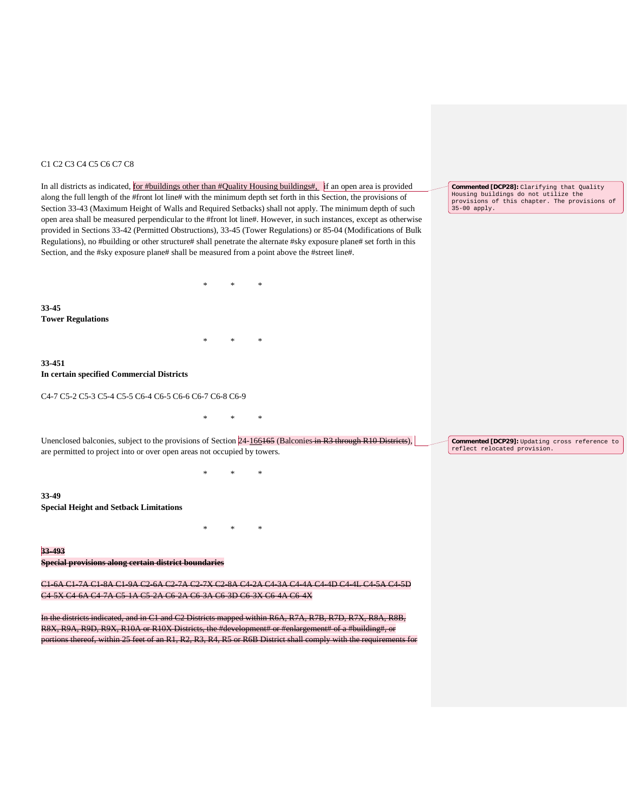## C1 C2 C3 C4 C5 C6 C7 C8

In all districts as indicated, for #buildings other than #Quality Housing buildings#, if an open area is provided along the full length of the #front lot line# with the minimum depth set forth in this Section, the provisions of Section 33-43 (Maximum Height of Walls and Required Setbacks) shall not apply. The minimum depth of such open area shall be measured perpendicular to the #front lot line#. However, in such instances, except as otherwise provided in Sections 33-42 (Permitted Obstructions), 33-45 (Tower Regulations) or 85-04 (Modifications of Bulk Regulations), no #building or other structure# shall penetrate the alternate #sky exposure plane# set forth in this Section, and the #sky exposure plane# shall be measured from a point above the #street line#. \* \* \* **33-45 Tower Regulations** \* \* \* **33-451 In certain specified Commercial Districts** C4-7 C5-2 C5-3 C5-4 C5-5 C6-4 C6-5 C6-6 C6-7 C6-8 C6-9 \* \* \* Unenclosed balconies, subject to the provisions of Section 24-166165 (Balconies in R3 through R10 Districts), are permitted to project into or over open areas not occupied by towers. \* \* \* **33-49 Special Height and Setback Limitations** \* \* \* **33-493 Special provisions along certain district boundaries** C1-6A C1-7A C1-8A C1-9A C2-6A C2-7A C2-7X C2-8A C4-2A C4-3A C4-4A C4-4D C4-4L C4-5A C4-5D C4-5X C4-6A C4-7A C5-1A C5-2A C6-2A C6-3A C6-3D C6-3X C6-4A C6-4X In the districts indicated, and in C1 and C2 Districts mapped within R6A, R7A, R7B, R7D, R7X, R8A, R8B, R8X, R9A, R9D, R9X, R10A or R10X Districts, the #development# or #enlargement# of a #building#, or **Commented [DCP28]:** Clarifying that Quality Housing buildings do not utilize the provisions of this chapter. The provisions of 35-00 apply. **Commented [DCP29]:** Updating cross reference to reflect relocated provision.

portions thereof, within 25 feet of an R1, R2, R3, R4, R5 or R6B District shall comply with the requirements for